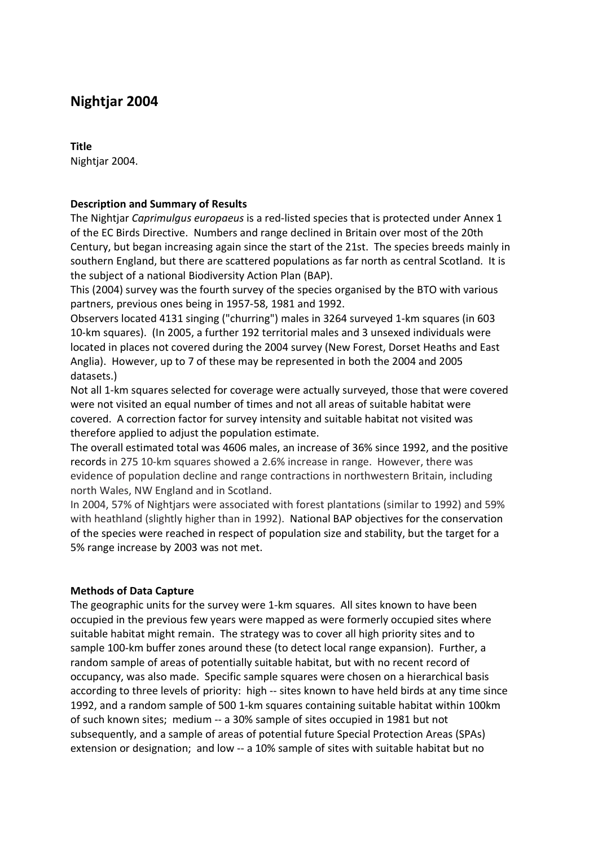# **Nightjar 2004**

# **Title**

Nightjar 2004.

# **Description and Summary of Results**

The Nightjar *Caprimulgus europaeus* is a red-listed species that is protected under Annex 1 of the EC Birds Directive. Numbers and range declined in Britain over most of the 20th Century, but began increasing again since the start of the 21st. The species breeds mainly in southern England, but there are scattered populations as far north as central Scotland. It is the subject of a national Biodiversity Action Plan (BAP).

This (2004) survey was the fourth survey of the species organised by the BTO with various partners, previous ones being in 1957-58, 1981 and 1992.

Observers located 4131 singing ("churring") males in 3264 surveyed 1-km squares (in 603 10-km squares). (In 2005, a further 192 territorial males and 3 unsexed individuals were located in places not covered during the 2004 survey (New Forest, Dorset Heaths and East Anglia). However, up to 7 of these may be represented in both the 2004 and 2005 datasets.)

Not all 1-km squares selected for coverage were actually surveyed, those that were covered were not visited an equal number of times and not all areas of suitable habitat were covered. A correction factor for survey intensity and suitable habitat not visited was therefore applied to adjust the population estimate.

The overall estimated total was 4606 males, an increase of 36% since 1992, and the positive records in 275 10-km squares showed a 2.6% increase in range. However, there was evidence of population decline and range contractions in northwestern Britain, including north Wales, NW England and in Scotland.

In 2004, 57% of Nightjars were associated with forest plantations (similar to 1992) and 59% with heathland (slightly higher than in 1992). National BAP objectives for the conservation of the species were reached in respect of population size and stability, but the target for a 5% range increase by 2003 was not met.

# **Methods of Data Capture**

The geographic units for the survey were 1-km squares. All sites known to have been occupied in the previous few years were mapped as were formerly occupied sites where suitable habitat might remain. The strategy was to cover all high priority sites and to sample 100-km buffer zones around these (to detect local range expansion). Further, a random sample of areas of potentially suitable habitat, but with no recent record of occupancy, was also made. Specific sample squares were chosen on a hierarchical basis according to three levels of priority: high -- sites known to have held birds at any time since 1992, and a random sample of 500 1-km squares containing suitable habitat within 100km of such known sites; medium -- a 30% sample of sites occupied in 1981 but not subsequently, and a sample of areas of potential future Special Protection Areas (SPAs) extension or designation; and low -- a 10% sample of sites with suitable habitat but no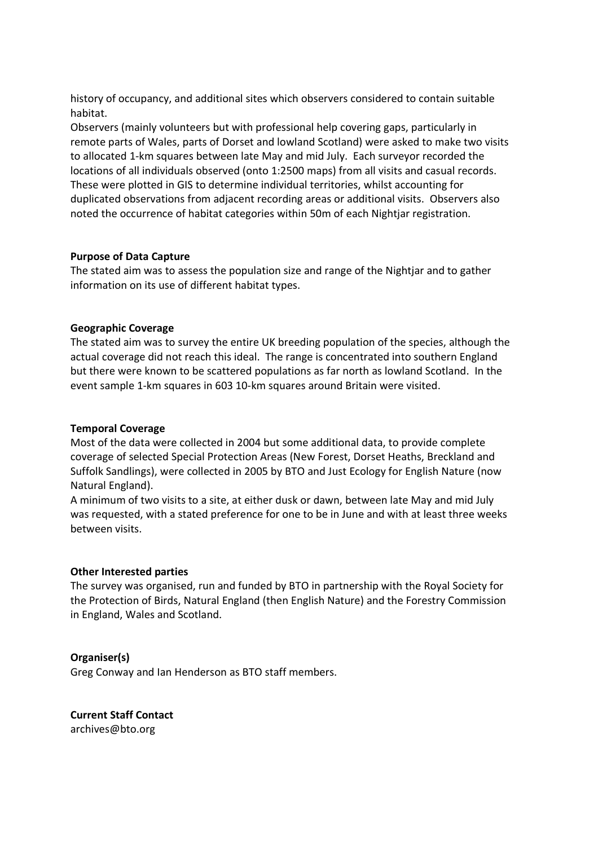history of occupancy, and additional sites which observers considered to contain suitable habitat.

Observers (mainly volunteers but with professional help covering gaps, particularly in remote parts of Wales, parts of Dorset and lowland Scotland) were asked to make two visits to allocated 1-km squares between late May and mid July. Each surveyor recorded the locations of all individuals observed (onto 1:2500 maps) from all visits and casual records. These were plotted in GIS to determine individual territories, whilst accounting for duplicated observations from adjacent recording areas or additional visits. Observers also noted the occurrence of habitat categories within 50m of each Nightjar registration.

## **Purpose of Data Capture**

The stated aim was to assess the population size and range of the Nightjar and to gather information on its use of different habitat types.

## **Geographic Coverage**

The stated aim was to survey the entire UK breeding population of the species, although the actual coverage did not reach this ideal. The range is concentrated into southern England but there were known to be scattered populations as far north as lowland Scotland. In the event sample 1-km squares in 603 10-km squares around Britain were visited.

## **Temporal Coverage**

Most of the data were collected in 2004 but some additional data, to provide complete coverage of selected Special Protection Areas (New Forest, Dorset Heaths, Breckland and Suffolk Sandlings), were collected in 2005 by BTO and Just Ecology for English Nature (now Natural England).

A minimum of two visits to a site, at either dusk or dawn, between late May and mid July was requested, with a stated preference for one to be in June and with at least three weeks between visits.

# **Other Interested parties**

The survey was organised, run and funded by BTO in partnership with the Royal Society for the Protection of Birds, Natural England (then English Nature) and the Forestry Commission in England, Wales and Scotland.

# **Organiser(s)**

Greg Conway and Ian Henderson as BTO staff members.

**Current Staff Contact**  archives@bto.org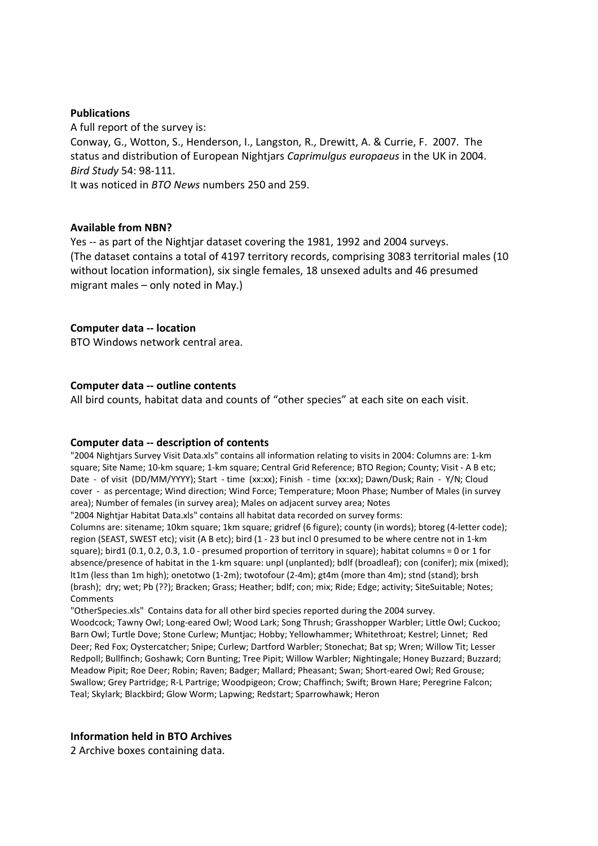### **Publications**

A full report of the survey is: Conway, G., Wotton, S., Henderson, I., Langston, R., Drewitt, A. & Currie, F. 2007. The status and distribution of European Nightjars *Caprimulgus europaeus* in the UK in 2004. *Bird Study* 54: 98-111. It was noticed in *BTO News* numbers 250 and 259.

#### **Available from NBN?**

Yes -- as part of the Nightjar dataset covering the 1981, 1992 and 2004 surveys. (The dataset contains a total of 4197 territory records, comprising 3083 territorial males (10 without location information), six single females, 18 unsexed adults and 46 presumed migrant males – only noted in May.)

#### **Computer data -- location**

BTO Windows network central area.

## **Computer data -- outline contents**

All bird counts, habitat data and counts of "other species" at each site on each visit.

#### **Computer data -- description of contents**

"2004 Nightjars Survey Visit Data.xls" contains all information relating to visits in 2004: Columns are: 1-km square; Site Name; 10-km square; 1-km square; Central Grid Reference; BTO Region; County; Visit - A B etc; Date - of visit (DD/MM/YYYY); Start - time (xx:xx); Finish - time (xx:xx); Dawn/Dusk; Rain - Y/N; Cloud cover - as percentage; Wind direction; Wind Force; Temperature; Moon Phase; Number of Males (in survey area); Number of females (in survey area); Males on adjacent survey area; Notes

"2004 Nightjar Habitat Data.xls" contains all habitat data recorded on survey forms:

Columns are: sitename; 10km square; 1km square; gridref (6 figure); county (in words); btoreg (4-letter code); region (SEAST, SWEST etc); visit (A B etc); bird (1 - 23 but incl 0 presumed to be where centre not in 1-km square); bird1 (0.1, 0.2, 0.3, 1.0 - presumed proportion of territory in square); habitat columns = 0 or 1 for absence/presence of habitat in the 1-km square: unpl (unplanted); bdlf (broadleaf); con (conifer); mix (mixed); lt1m (less than 1m high); onetotwo (1-2m); twotofour (2-4m); gt4m (more than 4m); stnd (stand); brsh (brash); dry; wet; Pb (??); Bracken; Grass; Heather; bdlf; con; mix; Ride; Edge; activity; SiteSuitable; Notes; Comments

"OtherSpecies.xls" Contains data for all other bird species reported during the 2004 survey. Woodcock; Tawny Owl; Long-eared Owl; Wood Lark; Song Thrush; Grasshopper Warbler; Little Owl; Cuckoo; Barn Owl; Turtle Dove; Stone Curlew; Muntjac; Hobby; Yellowhammer; Whitethroat; Kestrel; Linnet; Red Deer; Red Fox; Oystercatcher; Snipe; Curlew; Dartford Warbler; Stonechat; Bat sp; Wren; Willow Tit; Lesser Redpoll; Bullfinch; Goshawk; Corn Bunting; Tree Pipit; Willow Warbler; Nightingale; Honey Buzzard; Buzzard; Meadow Pipit; Roe Deer; Robin; Raven; Badger; Mallard; Pheasant; Swan; Short-eared Owl; Red Grouse; Swallow; Grey Partridge; R-L Partrige; Woodpigeon; Crow; Chaffinch; Swift; Brown Hare; Peregrine Falcon; Teal; Skylark; Blackbird; Glow Worm; Lapwing; Redstart; Sparrowhawk; Heron

#### **Information held in BTO Archives**

2 Archive boxes containing data.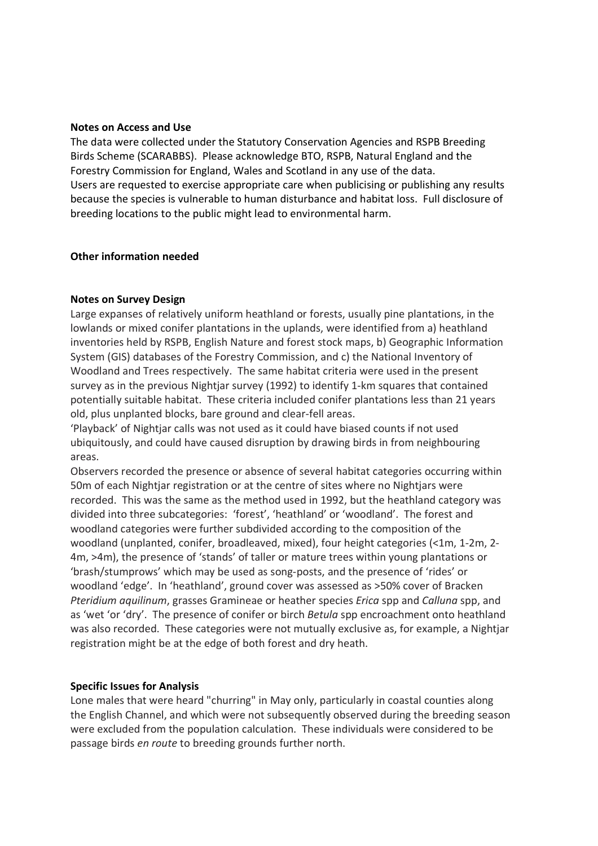## **Notes on Access and Use**

The data were collected under the Statutory Conservation Agencies and RSPB Breeding Birds Scheme (SCARABBS). Please acknowledge BTO, RSPB, Natural England and the Forestry Commission for England, Wales and Scotland in any use of the data. Users are requested to exercise appropriate care when publicising or publishing any results because the species is vulnerable to human disturbance and habitat loss. Full disclosure of breeding locations to the public might lead to environmental harm.

## **Other information needed**

#### **Notes on Survey Design**

Large expanses of relatively uniform heathland or forests, usually pine plantations, in the lowlands or mixed conifer plantations in the uplands, were identified from a) heathland inventories held by RSPB, English Nature and forest stock maps, b) Geographic Information System (GIS) databases of the Forestry Commission, and c) the National Inventory of Woodland and Trees respectively. The same habitat criteria were used in the present survey as in the previous Nightjar survey (1992) to identify 1-km squares that contained potentially suitable habitat. These criteria included conifer plantations less than 21 years old, plus unplanted blocks, bare ground and clear-fell areas.

'Playback' of Nightjar calls was not used as it could have biased counts if not used ubiquitously, and could have caused disruption by drawing birds in from neighbouring areas.

Observers recorded the presence or absence of several habitat categories occurring within 50m of each Nightjar registration or at the centre of sites where no Nightjars were recorded. This was the same as the method used in 1992, but the heathland category was divided into three subcategories: 'forest', 'heathland' or 'woodland'. The forest and woodland categories were further subdivided according to the composition of the woodland (unplanted, conifer, broadleaved, mixed), four height categories (<1m, 1-2m, 2- 4m, >4m), the presence of 'stands' of taller or mature trees within young plantations or 'brash/stumprows' which may be used as song-posts, and the presence of 'rides' or woodland 'edge'. In 'heathland', ground cover was assessed as >50% cover of Bracken *Pteridium aquilinum*, grasses Gramineae or heather species *Erica* spp and *Calluna* spp, and as 'wet 'or 'dry'. The presence of conifer or birch *Betula* spp encroachment onto heathland was also recorded. These categories were not mutually exclusive as, for example, a Nightjar registration might be at the edge of both forest and dry heath.

## **Specific Issues for Analysis**

Lone males that were heard "churring" in May only, particularly in coastal counties along the English Channel, and which were not subsequently observed during the breeding season were excluded from the population calculation. These individuals were considered to be passage birds *en route* to breeding grounds further north.